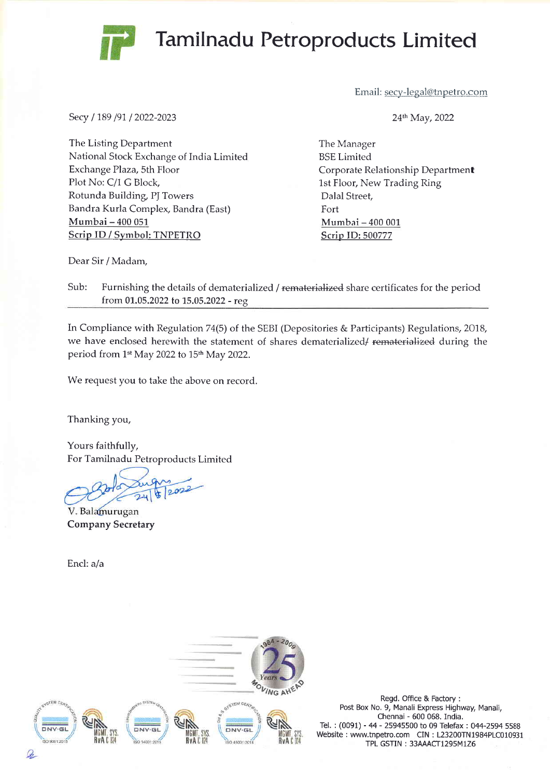## Tamilnadu Petroproducts Limited



Secy / 189 /91 / 2022-2023

Email: secy-legal@tnpetro.com

24<sup>th</sup> May, 2022

The Listing Department National Stock Exchange of India Limited Exchange Plaza, sth Floor Plot No: C/1 G Block, Rotunda Building, PJ Towers Bandra Kurla Complex, Bandra (East) Mumbai - 400 051 Scrip ID / Symbol: TNPETRO

The Manager BSE Limited Corporate Relationship Department 1st Floor, New Trading Ring Dalal Street, Fort Mumbai - 400 001 Scrip ID:500777

Dear Sir / Madam,

Sub: Furnishing the details of dematerialized / rematerialized share certificates for the period from 01.05.2022 to 15.05.2022 - reg.

In Compliance with Regulation 74(5) of the SEBI (Depositories & Participants) Regulations, 2018, we have enclosed herewith the statement of shares dematerialized/ rematerialized during the period from 1<sup>st</sup> May 2022 to 15<sup>th</sup> May 2022.

We request you to take the above on record.

Thanking you,

Yours faithfully, For Tamilnadu Petroproducts Limited

2022

V. Balamurugan Company Secretary

Encl: a/a



Regd. Office & Factory : Post Box No. 9, Manali Express Highway, Manali, Chennai - 600 068. India. Tel. : (0091) - 44 - 25945500 to 09 Telefax : 044-2594 5588 Website : www.tnpetro.com CIN : L23200TN1984PLC010931 TPL GSTIN: 33AAACT1295M1Z6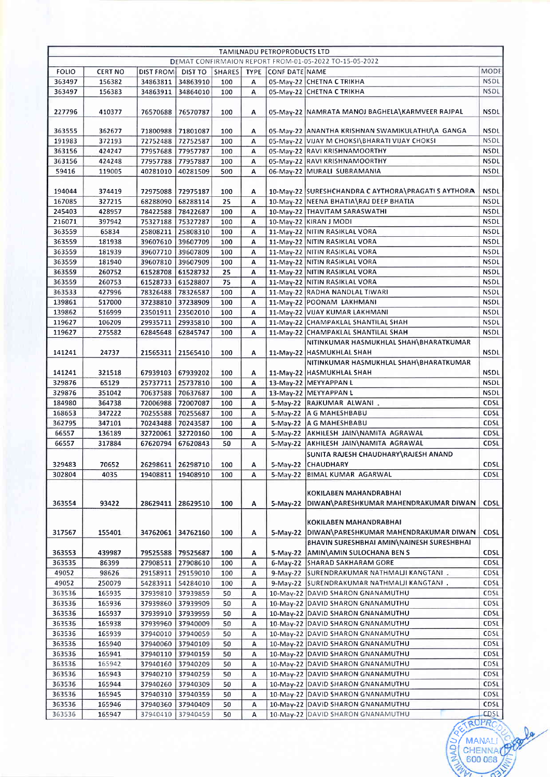|              |                |                   |                   |               |   | <b>TAMILNADU PETROPRODUCTS LTD</b> |                                                        |                                   |
|--------------|----------------|-------------------|-------------------|---------------|---|------------------------------------|--------------------------------------------------------|-----------------------------------|
|              |                |                   |                   |               |   |                                    | DEMAT CONFIRMAION REPORT FROM-01-05-2022 TO-15-05-2022 |                                   |
| <b>FOLIO</b> | <b>CERT NO</b> | DIST FROM         | DIST TO           | <b>SHARES</b> |   | TYPE CONF DATE NAME                |                                                        | <b>MODE</b>                       |
| 363497       | 156382         | 34863811          | 34863910          | 100           | А |                                    | 05-May-22 CHETNA C TRIKHA                              | <b>NSDL</b>                       |
| 363497       | 156383         | 34863911          | 34864010          | 100           | А |                                    | 05-May-22 CHETNA C TRIKHA                              | <b>NSDL</b>                       |
| 227796       | 410377         | 76570688          | 76570787          | 100           | Α |                                    | 05-May-22 NAMRATA MANOJ BAGHELA\KARMVEER RAJPAL        | <b>NSDL</b>                       |
| 363555       | 362677         | 71800988          | 71801087          | 100           | Α |                                    | 05-May-22 ANANTHA KRISHNAN SWAMIKULATHU\A GANGA        | <b>NSDL</b>                       |
| 191983       | 372193         |                   | 72752488 72752587 | 100           | A |                                    | 05-May-22 VIJAY M CHOKSI\BHARATI VIJAY CHOKSI          | <b>NSDL</b>                       |
| 363156       | 424247         |                   | 77957688 77957787 | 100           | А |                                    | 05-May-22 RAVI KRISHNAMOORTHY                          | <b>NSDL</b>                       |
| 363156       | 424248         | 77957788 77957887 |                   | 100           | A |                                    | 05-May-22 RAVI KRISHNAMOORTHY                          | <b>NSDL</b>                       |
| 59416        | 119005         | 40281010          | 40281509          | 500           | A |                                    | 06-May-22 MURALI SUBRAMANIA                            | <b>NSDL</b>                       |
| 194044       | 374419         |                   | 72975088 72975187 | 100           | Α |                                    | 10-May-22 SURESHCHANDRA C AYTHORA\PRAGATI S AYTHORA    | <b>NSDL</b>                       |
| 167085       | 327215         |                   | 68288090 68288114 | 25            | Α |                                    | 10-May-22 NEENA BHATIA\RAJ DEEP BHATIA                 | <b>NSDL</b>                       |
| 245403       | 428957         |                   | 78422588 78422687 | 100           | А |                                    | 10-May-22 THAVITAM SARASWATHI                          | <b>NSDL</b>                       |
| 216071       | 397942         | 75327188          | 75327287          | 100           | A |                                    | 10-May-22 KIRAN J MODI                                 | <b>NSDL</b>                       |
| 363559       | 65834          |                   | 25808211 25808310 | 100           | Α |                                    | 11-May-22 NITIN RASIKLAL VORA                          | <b>NSDL</b>                       |
| 363559       | 181938         | 39607610          | 39607709          | 100           | Α |                                    | 11-May-22 NITIN RASIKLAL VORA                          | <b>NSDL</b>                       |
| 363559       | 181939         |                   | 39607710 39607809 | 100           | A |                                    | 11-May-22 NITIN RASIKLAL VORA                          | <b>NSDL</b>                       |
| 363559       | 181940         | 39607810          | 39607909          | 100           | А |                                    | 11-May-22 NITIN RASIKLAL VORA                          | <b>NSDL</b>                       |
| 363559       | 260752         | 61528708          | 61528732          | 25            | A |                                    | 11-May-22 NITIN RASIKLAL VORA                          | <b>NSDL</b>                       |
| 363559       | 260753         | 61528733          | 61528807          | 75            | A |                                    | 11-May-22 NITIN RASIKLAL VORA                          | <b>NSDL</b>                       |
| 363533       | 427996         | 78326488          | 78326587          | 100           | Α |                                    | 11-May-22 RADHA NANDLAL TIWARI                         | NSDL                              |
| 139861       | 517000         |                   | 37238810 37238909 | 100           | Α |                                    | 11-May-22 POONAM LAKHMANI                              | <b>NSDL</b>                       |
| 139862       | 516999         | 23501911 23502010 |                   | 100           | А |                                    | 11-May-22 VIJAY KUMAR LAKHMANI                         | <b>NSDL</b>                       |
| 119627       | 106209         | 29935711          | 29935810          | 100           | А |                                    | 11-May-22 CHAMPAKLAL SHANTILAL SHAH                    | <b>NSDL</b>                       |
| 119627       | 275582         | 62845648          | 62845747          | 100           | A |                                    | 11-May-22 CHAMPAKLAL SHANTILAL SHAH                    | <b>NSDL</b>                       |
|              |                |                   |                   |               |   |                                    | NITINKUMAR HASMUKHLAL SHAH\BHARATKUMAR                 |                                   |
| 141241       | 24737          | 21565311          | 21565410          | 100           | Α |                                    | 11-May-22 HASMUKHLAL SHAH                              | <b>NSDL</b>                       |
|              |                |                   |                   |               |   |                                    | NITINKUMAR HASMUKHLAL SHAH\BHARATKUMAR                 |                                   |
| 141241       | 321518         | 67939103          | 67939202          | 100           | А |                                    | 11-May-22 HASMUKHLAL SHAH                              | <b>NSDL</b>                       |
| 329876       | 65129          | 25737711          | 25737810          | 100           | Α |                                    | 13-May-22 MEYYAPPAN L                                  | <b>NSDL</b>                       |
| 329876       | 351042         | 70637588          | 70637687          | 100           | Α |                                    | 13-May-22 MEYYAPPAN L                                  | <b>NSDL</b>                       |
| 184980       | 364738         | 72006988          | 72007087          | 100           | A |                                    | 5-May-22 RAJKUMAR ALWANI.                              | <b>CDSL</b>                       |
| 168653       | 347222         | 70255588          | 70255687          | 100           | Α |                                    | 5-May-22   A G MAHESHBABU                              | <b>CDSL</b>                       |
| 362795       | 347101         | 70243488          | 70243587          | 100           | Α |                                    | 5-May-22   A G MAHESHBABU                              | CDSL                              |
| 66557        | 136189         | 32720061          | 32720160          | 100           | А |                                    | 5-May-22 AKHILESH JAIN\NAMITA AGRAWAL                  | <b>CDSL</b>                       |
| 66557        | 317884         | 67620794          | 67620843          | 50            | Α |                                    | 5-May-22 AKHILESH JAIN\NAMITA AGRAWAL                  | <b>CDSL</b>                       |
|              |                |                   |                   |               |   |                                    | SUNITA RAJESH CHAUDHARY\RAJESH ANAND                   |                                   |
| 329483       | 70652          | 26298611          | 26298710          | 100           | A |                                    | 5-May-22 CHAUDHARY                                     | <b>CDSL</b>                       |
| 302804       | 4035           | 19408811          | 19408910          | 100           | А | $5-May-22$                         | BIMAL KUMAR AGARWAL                                    | CDSL                              |
|              |                |                   |                   |               |   |                                    | KOKILABEN MAHANDRABHAI                                 |                                   |
|              |                |                   |                   |               |   |                                    | 5-May-22   DIWAN\PARESHKUMAR MAHENDRAKUMAR DIWAN       |                                   |
| 363554       | 93422          | 28629411          | 28629510          | 100           | Α |                                    |                                                        | <b>CDSL</b>                       |
|              |                |                   |                   |               |   |                                    | KOKILABEN MAHANDRABHAI                                 |                                   |
|              |                |                   |                   |               |   |                                    |                                                        | <b>CDSL</b>                       |
| 317567       | 155401         |                   | 34762061 34762160 | 100           | Α |                                    | 5-May-22   DIWAN\PARESHKUMAR MAHENDRAKUMAR DIWAN       |                                   |
|              |                |                   |                   |               |   |                                    | BHAVIN SURESHBHAI AMIN\NAINESH SURESHBHAI              |                                   |
| 363553       | 439987         |                   | 79525588 79525687 | 100           | А |                                    | 5-May-22 AMIN\AMIN SULOCHANA BEN S                     | <b>CDSL</b>                       |
| 363535       | 86399          |                   | 27908511 27908610 | 100           | А |                                    | 6-May-22 SHARAD SAKHARAM GORE                          | <b>CDSL</b>                       |
| 49052        | 98626          |                   | 29158911 29159010 | 100           | А |                                    | 9-May-22 SURENDRAKUMAR NATHMALJI KANGTANI .            | <b>CDSL</b>                       |
| 49052        | 250079         |                   | 54283911 54284010 | 100           | А |                                    | 9-May-22 SURENDRAKUMAR NATHMALII KANGTANI .            | CDSL                              |
| 363536       | 165935         | 37939810          | 37939859          | 50            | А |                                    | 10-May-22 DAVID SHARON GNANAMUTHU                      | CDSL                              |
| 363536       | 165936         | 37939860 37939909 |                   | 50            | А |                                    | 10-May-22 DAVID SHARON GNANAMUTHU                      | <b>CDSL</b>                       |
| 363536       | 165937         | 37939910          | 37939959          | 50            | А |                                    | 10-May-22 DAVID SHARON GNANAMUTHU                      | <b>CDSL</b>                       |
| 363536       | 165938         |                   | 37939960 37940009 | 50            | А |                                    | 10-May-22 DAVID SHARON GNANAMUTHU                      | <b>CDSL</b>                       |
| 363536       | 165939         | 37940010          | 37940059          | 50            | А |                                    | 10-May-22 DAVID SHARON GNANAMUTHU                      | <b>CDSL</b>                       |
| 363536       | 165940         | 37940060          | 37940109          | 50            | Α |                                    | 10-May-22 DAVID SHARON GNANAMUTHU                      | <b>CDSL</b>                       |
| 363536       | 165941         |                   | 37940110 37940159 | 50            | А |                                    | 10-May-22 DAVID SHARON GNANAMUTHU                      | <b>CDSL</b>                       |
| 363536       | 165942         |                   | 37940160 37940209 | 50            | А |                                    | 10-May-22 DAVID SHARON GNANAMUTHU                      | CDSL                              |
| 363536       | 165943         |                   | 37940210 37940259 | 50            | Α |                                    | 10-May-22 DAVID SHARON GNANAMUTHU                      | CDSL                              |
| 363536       | 165944         |                   | 37940260 37940309 | 50            | А |                                    | 10-May-22 DAVID SHARON GNANAMUTHU                      | CDSL                              |
| 363536       | 165945         |                   | 37940310 37940359 | 50            | А |                                    | 10-May-22 DAVID SHARON GNANAMUTHU                      | CDSL                              |
| 363536       | 165946         |                   | 37940360 37940409 | 50            | Α |                                    | 10-May-22 DAVID SHARON GNANAMUTHU                      | CDSL                              |
| 363536       | 165947         |                   | 37940410 37940459 | 50            | A |                                    | 10-May-22 DAVID SHARON GNANAMUTHU                      | <b>CDSL</b>                       |
|              |                |                   |                   |               |   |                                    | NADU<br>CHENNA                                         | ROPRO<br><b>MANALI</b><br>600 068 |